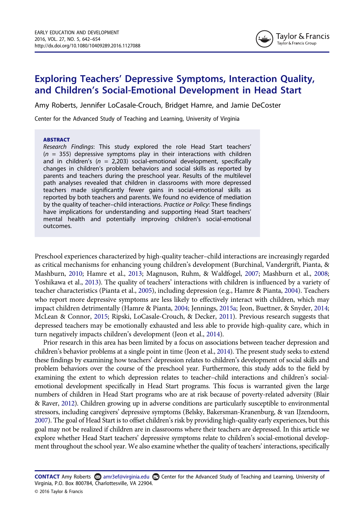

# Exploring Teachers' Depressive Symptoms, Interaction Quality, and Children's Social-Emotional Development in Head Start

Amy Roberts, Jennifer LoCasale-Crouch, Bridget Hamre, and Jamie DeCoster

Center for the Advanced Study of Teaching and Learning, University of Virginia

#### ABSTRACT

Research Findings: This study explored the role Head Start teachers'  $(n = 355)$  depressive symptoms play in their interactions with children and in children's ( $n = 2,203$ ) social-emotional development, specifically changes in children's problem behaviors and social skills as reported by parents and teachers during the preschool year. Results of the multilevel path analyses revealed that children in classrooms with more depressed teachers made significantly fewer gains in social-emotional skills as reported by both teachers and parents. We found no evidence of mediation by the quality of teacher–child interactions. Practice or Policy: These findings have implications for understanding and supporting Head Start teachers' mental health and potentially improving children's social-emotional outcomes.

Preschool experiences characterized by high-quality teacher–child interactions are increasingly regarded as critical mechanisms for enhancing young children's development (Burchinal, Vandergrift, Pianta, & Mashburn, [2010;](#page-11-0) Hamre et al., [2013](#page-11-1); Magnuson, Ruhm, & Waldfogel, [2007;](#page-11-2) Mashburn et al., [2008;](#page-11-3) Yoshikawa et al., [2013](#page-12-0)). The quality of teachers' interactions with children is influenced by a variety of teacher characteristics (Pianta et al., [2005](#page-12-1)), including depression (e.g., Hamre & Pianta, [2004\)](#page-11-4). Teachers who report more depressive symptoms are less likely to effectively interact with children, which may impact children detrimentally (Hamre & Pianta, [2004](#page-11-4); Jennings, [2015a;](#page-11-5) Jeon, Buettner, & Snyder, [2014;](#page-11-6) McLean & Connor, [2015](#page-12-2); Ripski, LoCasale-Crouch, & Decker, [2011](#page-12-3)). Previous research suggests that depressed teachers may be emotionally exhausted and less able to provide high-quality care, which in turn negatively impacts children's development (Jeon et al., [2014\)](#page-11-6).

Prior research in this area has been limited by a focus on associations between teacher depression and children's behavior problems at a single point in time (Jeon et al., [2014\)](#page-11-6). The present study seeks to extend these findings by examining how teachers' depression relates to children's development of social skills and problem behaviors over the course of the preschool year. Furthermore, this study adds to the field by examining the extent to which depression relates to teacher–child interactions and children's socialemotional development specifically in Head Start programs. This focus is warranted given the large numbers of children in Head Start programs who are at risk because of poverty-related adversity (Blair & Raver, [2012](#page-11-7)). Children growing up in adverse conditions are particularly susceptible to environmental stressors, including caregivers' depressive symptoms (Belsky, Bakersman-Kranenburg, & van IJzendoorn, [2007](#page-10-0)). The goal of Head Start is to offset children's risk by providing high-quality early experiences, but this goal may not be realized if children are in classrooms where their teachers are depressed. In this article we explore whether Head Start teachers' depressive symptoms relate to children's social-emotional development throughout the school year. We also examine whether the quality of teachers' interactions, specifically

CONTACT Amy Roberts **an** amr3ef@virginia.edu **co** Center for the Advanced Study of Teaching and Learning, University of Virginia, P.O. Box 800784, Charlottesville, VA 22904.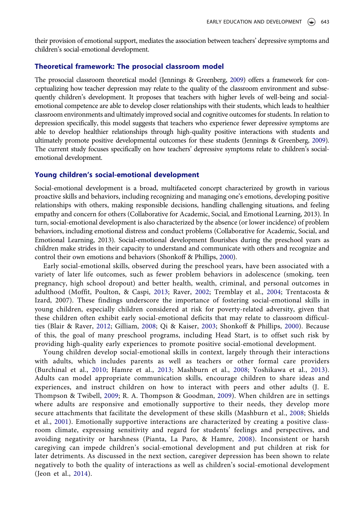their provision of emotional support, mediates the association between teachers' depressive symptoms and children's social-emotional development.

#### Theoretical framework: The prosocial classroom model

The prosocial classroom theoretical model (Jennings & Greenberg, [2009\)](#page-11-8) offers a framework for conceptualizing how teacher depression may relate to the quality of the classroom environment and subsequently children's development. It proposes that teachers with higher levels of well-being and socialemotional competence are able to develop closer relationships with their students, which leads to healthier classroom environments and ultimately improved social and cognitive outcomes for students. In relation to depression specifically, this model suggests that teachers who experience fewer depressive symptoms are able to develop healthier relationships through high-quality positive interactions with students and ultimately promote positive developmental outcomes for these students (Jennings & Greenberg, [2009](#page-11-8)). The current study focuses specifically on how teachers' depressive symptoms relate to children's socialemotional development.

## Young children's social-emotional development

Social-emotional development is a broad, multifaceted concept characterized by growth in various proactive skills and behaviors, including recognizing and managing one's emotions, developing positive relationships with others, making responsible decisions, handling challenging situations, and feeling empathy and concern for others (Collaborative for Academic, Social, and Emotional Learning, 2013). In turn, social-emotional development is also characterized by the absence (or lower incidence) of problem behaviors, including emotional distress and conduct problems (Collaborative for Academic, Social, and Emotional Learning, 2013). Social-emotional development flourishes during the preschool years as children make strides in their capacity to understand and communicate with others and recognize and control their own emotions and behaviors (Shonkoff & Phillips, [2000\)](#page-12-4).

Early social-emotional skills, observed during the preschool years, have been associated with a variety of later life outcomes, such as fewer problem behaviors in adolescence (smoking, teen pregnancy, high school dropout) and better health, wealth, criminal, and personal outcomes in adulthood (Moffit, Poulton, & Caspi, [2013;](#page-12-5) Raver, [2002;](#page-12-6) Tremblay et al., [2004;](#page-12-7) Trentacosta & Izard, 2007). These findings underscore the importance of fostering social-emotional skills in young children, especially children considered at risk for poverty-related adversity, given that these children often exhibit early social-emotional deficits that may relate to classroom difficulties (Blair & Raver, [2012](#page-11-7); Gilliam, [2008;](#page-11-9) Qi & Kaiser, [2003;](#page-12-8) Shonkoff & Phillips, [2000\)](#page-12-4). Because of this, the goal of many preschool programs, including Head Start, is to offset such risk by providing high-quality early experiences to promote positive social-emotional development.

Young children develop social-emotional skills in context, largely through their interactions with adults, which includes parents as well as teachers or other formal care providers (Burchinal et al., [2010](#page-11-0); Hamre et al., [2013](#page-11-1); Mashburn et al., [2008](#page-11-3); Yoshikawa et al., [2013](#page-12-0)). Adults can model appropriate communication skills, encourage children to share ideas and experiences, and instruct children on how to interact with peers and other adults (J. E. Thompson & Twibell, [2009;](#page-12-9) R. A. Thompson & Goodman, [2009\)](#page-12-10). When children are in settings where adults are responsive and emotionally supportive to their needs, they develop more secure attachments that facilitate the development of these skills (Mashburn et al., [2008;](#page-11-3) Shields et al., [2001](#page-12-11)). Emotionally supportive interactions are characterized by creating a positive classroom climate, expressing sensitivity and regard for students' feelings and perspectives, and avoiding negativity or harshness (Pianta, La Paro, & Hamre, [2008](#page-12-12)). Inconsistent or harsh caregiving can impede children's social-emotional development and put children at risk for later detriments. As discussed in the next section, caregiver depression has been shown to relate negatively to both the quality of interactions as well as children's social-emotional development (Jeon et al., [2014\)](#page-11-6).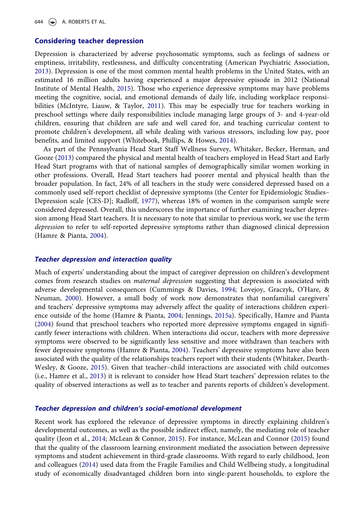## Considering teacher depression

Depression is characterized by adverse psychosomatic symptoms, such as feelings of sadness or emptiness, irritability, restlessness, and difficulty concentrating (American Psychiatric Association, [2013](#page-10-1)). Depression is one of the most common mental health problems in the United States, with an estimated 16 million adults having experienced a major depressive episode in 2012 (National Institute of Mental Health, [2015](#page-12-13)). Those who experience depressive symptoms may have problems meeting the cognitive, social, and emotional demands of daily life, including workplace responsibilities (McIntyre, Liauw, & Taylor, [2011](#page-11-10)). This may be especially true for teachers working in preschool settings where daily responsibilities include managing large groups of 3- and 4-year-old children, ensuring that children are safe and well cared for, and teaching curricular content to promote children's development, all while dealing with various stressors, including low pay, poor benefits, and limited support (Whitebook, Phillips, & Howes, [2014\)](#page-12-14).

As part of the Pennsylvania Head Start Staff Wellness Survey, Whitaker, Becker, Herman, and Gooze ([2013\)](#page-12-15) compared the physical and mental health of teachers employed in Head Start and Early Head Start programs with that of national samples of demographically similar women working in other professions. Overall, Head Start teachers had poorer mental and physical health than the broader population. In fact, 24% of all teachers in the study were considered depressed based on a commonly used self-report checklist of depressive symptoms (the Center for Epidemiologic Studies– Depression scale [CES-D]; Radloff, [1977\)](#page-12-16), whereas 18% of women in the comparison sample were considered depressed. Overall, this underscores the importance of further examining teacher depression among Head Start teachers. It is necessary to note that similar to previous work, we use the term depression to refer to self-reported depressive symptoms rather than diagnosed clinical depression (Hamre & Pianta, [2004\)](#page-11-4).

### Teacher depression and interaction quality

Much of experts' understanding about the impact of caregiver depression on children's development comes from research studies on *maternal depression* suggesting that depression is associated with adverse developmental consequences (Cummings & Davies, [1994;](#page-11-11) Lovejoy, Graczyk, O'Hare, & Neuman, [2000](#page-11-12)). However, a small body of work now demonstrates that nonfamilial caregivers' and teachers' depressive symptoms may adversely affect the quality of interactions children experience outside of the home (Hamre & Pianta, [2004](#page-11-4); Jennings, [2015a\)](#page-11-5). Specifically, Hamre and Pianta [\(2004\)](#page-11-4) found that preschool teachers who reported more depressive symptoms engaged in significantly fewer interactions with children. When interactions did occur, teachers with more depressive symptoms were observed to be significantly less sensitive and more withdrawn than teachers with fewer depressive symptoms (Hamre & Pianta, [2004](#page-11-4)). Teachers' depressive symptoms have also been associated with the quality of the relationships teachers report with their students (Whitaker, Dearth-Wesley, & Gooze, [2015\)](#page-12-17). Given that teacher–child interactions are associated with child outcomes (i.e., Hamre et al., [2013](#page-11-1)) it is relevant to consider how Head Start teachers' depression relates to the quality of observed interactions as well as to teacher and parents reports of children's development.

## Teacher depression and children's social-emotional development

Recent work has explored the relevance of depressive symptoms in directly explaining children's developmental outcomes, as well as the possible indirect effect, namely, the mediating role of teacher quality (Jeon et al., [2014](#page-11-6); McLean & Connor, [2015](#page-12-2)). For instance, McLean and Connor [\(2015\)](#page-12-2) found that the quality of the classroom learning environment mediated the association between depressive symptoms and student achievement in third-grade classrooms. With regard to early childhood, Jeon and colleagues [\(2014](#page-11-6)) used data from the Fragile Families and Child Wellbeing study, a longitudinal study of economically disadvantaged children born into single-parent households, to explore the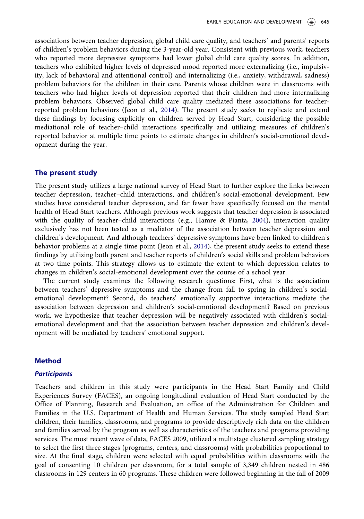associations between teacher depression, global child care quality, and teachers' and parents' reports of children's problem behaviors during the 3-year-old year. Consistent with previous work, teachers who reported more depressive symptoms had lower global child care quality scores. In addition, teachers who exhibited higher levels of depressed mood reported more externalizing (i.e., impulsivity, lack of behavioral and attentional control) and internalizing (i.e., anxiety, withdrawal, sadness) problem behaviors for the children in their care. Parents whose children were in classrooms with teachers who had higher levels of depression reported that their children had more internalizing problem behaviors. Observed global child care quality mediated these associations for teacherreported problem behaviors (Jeon et al., [2014\)](#page-11-6). The present study seeks to replicate and extend these findings by focusing explicitly on children served by Head Start, considering the possible mediational role of teacher–child interactions specifically and utilizing measures of children's reported behavior at multiple time points to estimate changes in children's social-emotional development during the year.

#### The present study

The present study utilizes a large national survey of Head Start to further explore the links between teacher depression, teacher–child interactions, and children's social-emotional development. Few studies have considered teacher depression, and far fewer have specifically focused on the mental health of Head Start teachers. Although previous work suggests that teacher depression is associated with the quality of teacher–child interactions (e.g., Hamre & Pianta, [2004](#page-11-4)), interaction quality exclusively has not been tested as a mediator of the association between teacher depression and children's development. And although teachers' depressive symptoms have been linked to children's behavior problems at a single time point (Jeon et al., [2014](#page-11-6)), the present study seeks to extend these findings by utilizing both parent and teacher reports of children's social skills and problem behaviors at two time points. This strategy allows us to estimate the extent to which depression relates to changes in children's social-emotional development over the course of a school year.

The current study examines the following research questions: First, what is the association between teachers' depressive symptoms and the change from fall to spring in children's socialemotional development? Second, do teachers' emotionally supportive interactions mediate the association between depression and children's social-emotional development? Based on previous work, we hypothesize that teacher depression will be negatively associated with children's socialemotional development and that the association between teacher depression and children's development will be mediated by teachers' emotional support.

#### Method

#### **Participants**

Teachers and children in this study were participants in the Head Start Family and Child Experiences Survey (FACES), an ongoing longitudinal evaluation of Head Start conducted by the Office of Planning, Research and Evaluation, an office of the Administration for Children and Families in the U.S. Department of Health and Human Services. The study sampled Head Start children, their families, classrooms, and programs to provide descriptively rich data on the children and families served by the program as well as characteristics of the teachers and programs providing services. The most recent wave of data, FACES 2009, utilized a multistage clustered sampling strategy to select the first three stages (programs, centers, and classrooms) with probabilities proportional to size. At the final stage, children were selected with equal probabilities within classrooms with the goal of consenting 10 children per classroom, for a total sample of 3,349 children nested in 486 classrooms in 129 centers in 60 programs. These children were followed beginning in the fall of 2009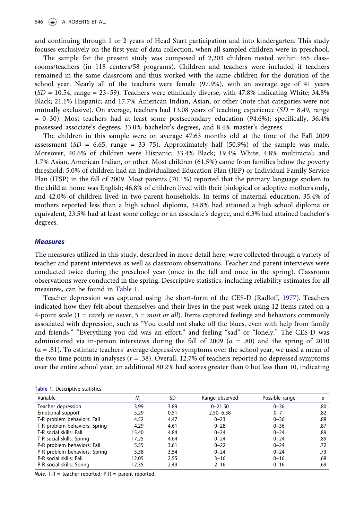646  $\leftrightarrow$  A. ROBERTS ET AL.

and continuing through 1 or 2 years of Head Start participation and into kindergarten. This study focuses exclusively on the first year of data collection, when all sampled children were in preschool.

The sample for the present study was composed of 2,203 children nested within 355 classrooms/teachers (in 118 centers/58 programs). Children and teachers were included if teachers remained in the same classroom and thus worked with the same children for the duration of the school year. Nearly all of the teachers were female (97.9%), with an average age of 41 years  $(SD = 10.54$ , range = 23–59). Teachers were ethnically diverse, with 47.8% indicating White; 34.8% Black; 21.1% Hispanic; and 17.7% American Indian, Asian, or other (note that categories were not mutually exclusive). On average, teachers had 13.08 years of teaching experience  $(SD = 8.49, \text{ range})$  $= 0-30$ ). Most teachers had at least some postsecondary education (94.6%); specifically, 36.4% possessed associate's degrees, 33.0% bachelor's degrees, and 8.4% master's degrees.

The children in this sample were on average 47.63 months old at the time of the Fall 2009 assessment ( $SD = 6.65$ , range = 33-75). Approximately half (50.9%) of the sample was male. Moreover, 40.6% of children were Hispanic; 33.4% Black; 19.4% White; 4.8% multiracial; and 1.7% Asian, American Indian, or other. Most children (61.5%) came from families below the poverty threshold; 5.0% of children had an Individualized Education Plan (IEP) or Individual Family Service Plan (IFSP) in the fall of 2009. Most parents (70.1%) reported that the primary language spoken to the child at home was English; 46.8% of children lived with their biological or adoptive mothers only, and 42.0% of children lived in two-parent households. In terms of maternal education, 35.4% of mothers reported less than a high school diploma, 34.8% had attained a high school diploma or equivalent, 23.5% had at least some college or an associate's degree, and 6.3% had attained bachelor's degrees.

#### **Measures**

The measures utilized in this study, described in more detail here, were collected through a variety of teacher and parent interviews as well as classroom observations. Teacher and parent interviews were conducted twice during the preschool year (once in the fall and once in the spring). Classroom observations were conducted in the spring. Descriptive statistics, including reliability estimates for all measures, can be found in [Table 1](#page-4-0).

Teacher depression was captured using the short-form of the CES-D (Radloff, [1977](#page-12-16)). Teachers indicated how they felt about themselves and their lives in the past week using 12 items rated on a 4-point scale  $(1 = rarely \ or \ never, 5 = most \ or \ all)$ . Items captured feelings and behaviors commonly associated with depression, such as "You could not shake off the blues, even with help from family and friends," "Everything you did was an effort," and feeling "sad" or "lonely." The CES-D was administered via in-person interviews during the fall of 2009 ( $\alpha$  = .80) and the spring of 2010  $(\alpha = .81)$ . To estimate teachers' average depressive symptoms over the school year, we used a mean of the two time points in analyses  $(r = .38)$ . Overall, 12.7% of teachers reported no depressed symptoms over the entire school year; an additional 80.2% had scores greater than 0 but less than 10, indicating

| M     | SD   | Range observed | Possible range | α   |
|-------|------|----------------|----------------|-----|
| 3.99  | 3.89 | $0 - 21.50$    | $0 - 36$       | .80 |
| 5.29  | 0.51 | $2.50 - 6.38$  | $0 - 7$        | .82 |
| 4.52  | 4.47 | $0 - 23$       | $0 - 36$       | .88 |
| 4.29  | 4.61 | $0 - 28$       | $0 - 36$       | .87 |
| 15.40 | 4.84 | $0 - 24$       | $0 - 24$       | .89 |
| 17.25 | 4.64 | $0 - 24$       | $0 - 24$       | .89 |
| 5.55  | 3.61 | $0 - 22$       | $0 - 24$       | .72 |
| 5.38  | 3.54 | $0 - 24$       | $0 - 24$       | .73 |
| 12.05 | 2.55 | $3 - 16$       | $0 - 16$       | .68 |
| 12.35 | 2.49 | $2 - 16$       | $0 - 16$       | .69 |
|       |      |                |                |     |

Note. T-R = teacher reported;  $P-R$  = parent reported.

<span id="page-4-0"></span>Table 1. Descriptive statistics.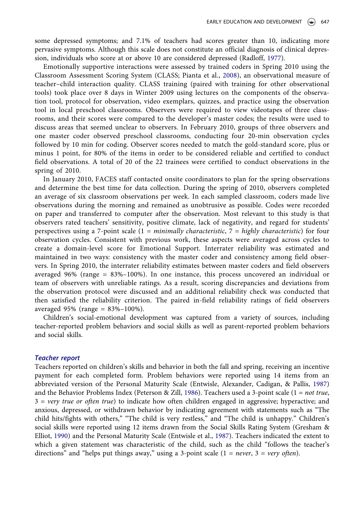some depressed symptoms; and 7.1% of teachers had scores greater than 10, indicating more pervasive symptoms. Although this scale does not constitute an official diagnosis of clinical depression, individuals who score at or above 10 are considered depressed (Radloff, [1977](#page-12-16)).

Emotionally supportive interactions were assessed by trained coders in Spring 2010 using the Classroom Assessment Scoring System (CLASS; Pianta et al., [2008](#page-12-12)), an observational measure of teacher–child interaction quality. CLASS training (paired with training for other observational tools) took place over 8 days in Winter 2009 using lectures on the components of the observation tool, protocol for observation, video exemplars, quizzes, and practice using the observation tool in local preschool classrooms. Observers were required to view videotapes of three classrooms, and their scores were compared to the developer's master codes; the results were used to discuss areas that seemed unclear to observers. In February 2010, groups of three observers and one master coder observed preschool classrooms, conducting four 20-min observation cycles followed by 10 min for coding. Observer scores needed to match the gold-standard score, plus or minus 1 point, for 80% of the items in order to be considered reliable and certified to conduct field observations. A total of 20 of the 22 trainees were certified to conduct observations in the spring of 2010.

In January 2010, FACES staff contacted onsite coordinators to plan for the spring observations and determine the best time for data collection. During the spring of 2010, observers completed an average of six classroom observations per week. In each sampled classroom, coders made live observations during the morning and remained as unobtrusive as possible. Codes were recorded on paper and transferred to computer after the observation. Most relevant to this study is that observers rated teachers' sensitivity, positive climate, lack of negativity, and regard for students' perspectives using a 7-point scale  $(1 = \text{minimally characteristic}, 7 = \text{highly characteristic})$  for four observation cycles. Consistent with previous work, these aspects were averaged across cycles to create a domain-level score for Emotional Support. Interrater reliability was estimated and maintained in two ways: consistency with the master coder and consistency among field observers. In Spring 2010, the interrater reliability estimates between master coders and field observers averaged 96% (range = 83%–100%). In one instance, this process uncovered an individual or team of observers with unreliable ratings. As a result, scoring discrepancies and deviations from the observation protocol were discussed and an additional reliability check was conducted that then satisfied the reliability criterion. The paired in-field reliability ratings of field observers averaged 95% (range = 83%–100%).

Children's social-emotional development was captured from a variety of sources, including teacher-reported problem behaviors and social skills as well as parent-reported problem behaviors and social skills.

#### Teacher report

Teachers reported on children's skills and behavior in both the fall and spring, receiving an incentive payment for each completed form. Problem behaviors were reported using 14 items from an abbreviated version of the Personal Maturity Scale (Entwisle, Alexander, Cadigan, & Pallis, [1987\)](#page-11-13) and the Behavior Problems Index (Peterson & Zill, [1986](#page-12-18)). Teachers used a 3-point scale ( $1 = not true$ ,  $3 = \text{very true or often true}$  to indicate how often children engaged in aggressive; hyperactive; and anxious, depressed, or withdrawn behavior by indicating agreement with statements such as "The child hits/fights with others," "The child is very restless," and "The child is unhappy." Children's social skills were reported using 12 items drawn from the Social Skills Rating System (Gresham & Elliot, [1990\)](#page-11-14) and the Personal Maturity Scale (Entwisle et al., [1987](#page-11-13)). Teachers indicated the extent to which a given statement was characteristic of the child, such as the child "follows the teacher's directions" and "helps put things away," using a 3-point scale  $(1 = never, 3 = very often)$ .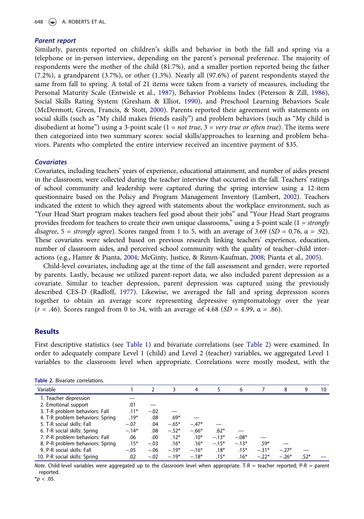## Parent report

Similarly, parents reported on children's skills and behavior in both the fall and spring via a telephone or in-person interview, depending on the parent's personal preference. The majority of respondents were the mother of the child (81.7%), and a smaller portion reported being the father (7.2%), a grandparent (3.7%), or other (1.3%). Nearly all (97.6%) of parent respondents stayed the same from fall to spring. A total of 21 items were taken from a variety of measures, including the Personal Maturity Scale (Entwisle et al., [1987](#page-11-13)), Behavior Problems Index (Peterson & Zill, [1986](#page-12-18)), Social Skills Rating System (Gresham & Elliot, [1990](#page-11-14)), and Preschool Learning Behaviors Scale (McDermott, Green, Francis, & Stott, [2000\)](#page-11-15). Parents reported their agreement with statements on social skills (such as "My child makes friends easily") and problem behaviors (such as "My child is disobedient at home") using a 3-point scale  $(1 = not true, 3 = very true or often true)$ . The items were then categorized into two summary scores: social skills/approaches to learning and problem behaviors. Parents who completed the entire interview received an incentive payment of \$35.

## **Covariates**

Covariates, including teachers' years of experience, educational attainment, and number of aides present in the classroom, were collected during the teacher interview that occurred in the fall. Teachers' ratings of school community and leadership were captured during the spring interview using a 12-item questionnaire based on the Policy and Program Management Inventory (Lambert, [2002](#page-11-16)). Teachers indicated the extent to which they agreed with statements about the workplace environment, such as "Your Head Start program makes teachers feel good about their jobs" and "Your Head Start programs provides freedom for teachers to create their own unique classrooms," using a 5-point scale  $(1 = strongly$ disagree,  $5 =$  strongly agree). Scores ranged from 1 to 5, with an average of 3.69 (SD = 0.76,  $\alpha = .92$ ). These covariates were selected based on previous research linking teachers' experience, education, number of classroom aides, and perceived school community with the quality of teacher–child interactions (e.g., Hamre & Pianta, [2004;](#page-11-4) McGinty, Justice, & Rimm-Kaufman, [2008](#page-11-17); Pianta et al., [2005](#page-12-1)).

Child-level covariates, including age at the time of the fall assessment and gender, were reported by parents. Lastly, because we utilized parent-report data, we also included parent depression as a covariate. Similar to teacher depression, parent depression was captured using the previously described CES-D (Radloff, [1977\)](#page-12-16). Likewise, we averaged the fall and spring depression scores together to obtain an average score representing depressive symptomatology over the year ( $r = .46$ ). Scores ranged from 0 to 34, with an average of 4.68 ( $SD = 4.99$ ,  $\alpha = .86$ ).

## Results

First descriptive statistics (see [Table 1\)](#page-4-0) and bivariate correlations (see [Table 2\)](#page-6-0) were examined. In order to adequately compare Level 1 (child) and Level 2 (teacher) variables, we aggregated Level 1 variables to the classroom level when appropriate. Correlations were mostly modest, with the

<span id="page-6-0"></span>

| Table 2. Bivariate correlations. |         |        |         |         |         |         |         |         |      |    |
|----------------------------------|---------|--------|---------|---------|---------|---------|---------|---------|------|----|
| Variable                         |         |        | 3       | 4       | 5       | 6       |         | 8       | 9    | 10 |
| 1. Teacher depression            |         |        |         |         |         |         |         |         |      |    |
| 2. Emotional support             | .01     |        |         |         |         |         |         |         |      |    |
| 3. T-R problem behaviors: Fall   | $.11*$  | $-.02$ |         |         |         |         |         |         |      |    |
| 4. T-R problem behaviors: Spring | $.19*$  | .08    | $.69*$  |         |         |         |         |         |      |    |
| 5. T-R social skills: Fall       | $-.07$  | .04    | $-.65*$ | $-.47*$ |         |         |         |         |      |    |
| 6. T-R social skills: Spring     | $-.14*$ | .08    | $-.52*$ | $-.66*$ | $.62*$  |         |         |         |      |    |
| 7. P-R problem behaviors: Fall   | .06     | .00    | $.12*$  | $.10*$  | $-.13*$ | $-.08*$ |         |         |      |    |
| 8. P-R problem behaviors: Spring | $.15*$  | $-.03$ | $.16*$  | $.16*$  | $-.15*$ | $-.13*$ | $.59*$  |         |      |    |
| 9. P-R social skills: Fall       | $-.05$  | $-.06$ | $-.19*$ | $-.16*$ | $.18*$  | $.15*$  | $-.31*$ | $-.27*$ |      |    |
| 10. P-R social skills: Spring    | .02     | $-.02$ | $-.19*$ | $-.18*$ | $.15*$  | $.16*$  | $-.22*$ | $-.26*$ | .52* |    |

Note. Child-level variables were aggregated up to the classroom level when appropriate. T-R = teacher reported; P-R = parent reported.

 $*p < .05$ .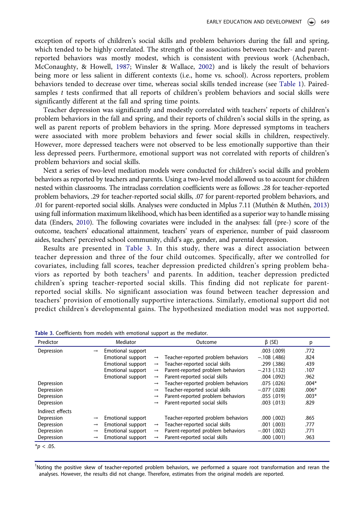exception of reports of children's social skills and problem behaviors during the fall and spring, which tended to be highly correlated. The strength of the associations between teacher- and parentreported behaviors was mostly modest, which is consistent with previous work (Achenbach, McConaughty, & Howell, [1987;](#page-10-2) Winsler & Wallace, [2002\)](#page-12-19) and is likely the result of behaviors being more or less salient in different contexts (i.e., home vs. school). Across reporters, problem behaviors tended to decrease over time, whereas social skills tended increase (see [Table 1](#page-4-0)). Pairedsamples t tests confirmed that all reports of children's problem behaviors and social skills were significantly different at the fall and spring time points.

Teacher depression was significantly and modestly correlated with teachers' reports of children's problem behaviors in the fall and spring, and their reports of children's social skills in the spring, as well as parent reports of problem behaviors in the spring. More depressed symptoms in teachers were associated with more problem behaviors and fewer social skills in children, respectively. However, more depressed teachers were not observed to be less emotionally supportive than their less depressed peers. Furthermore, emotional support was not correlated with reports of children's problem behaviors and social skills.

Next a series of two-level mediation models were conducted for children's social skills and problem behaviors as reported by teachers and parents. Using a two-level model allowed us to account for children nested within classrooms. The intraclass correlation coefficients were as follows: .28 for teacher-reported problem behaviors, .29 for teacher-reported social skills, .07 for parent-reported problem behaviors, and .01 for parent-reported social skills. Analyses were conducted in Mplus 7.11 (Muthén & Muthén, [2013\)](#page-12-20) using full information maximum likelihood, which has been identified as a superior way to handle missing data (Enders, [2010](#page-11-18)). The following covariates were included in the analyses: fall (pre-) score of the outcome, teachers' educational attainment, teachers' years of experience, number of paid classroom aides, teachers' perceived school community, child's age, gender, and parental depression.

<span id="page-7-1"></span>Results are presented in [Table 3.](#page-7-0) In this study, there was a direct association between teacher depression and three of the four child outcomes. Specifically, after we controlled for covariates, including fall scores, teacher depression predicted children's spring problem beha-viors as reported by both teachers<sup>[1](#page-7-1)</sup> and parents. In addition, teacher depression predicted children's spring teacher-reported social skills. This finding did not replicate for parentreported social skills. No significant association was found between teacher depression and teachers' provision of emotionally supportive interactions. Similarly, emotional support did not predict children's developmental gains. The hypothesized mediation model was not supported.

| Predictor                       |                   | Mediator          |                   | Outcome                            | $\beta$ (SE)     | р       |
|---------------------------------|-------------------|-------------------|-------------------|------------------------------------|------------------|---------|
| Depression                      | $\rightarrow$     | Emotional support |                   |                                    | $.003$ $(.009)$  | .772    |
|                                 |                   | Emotional support | $\longrightarrow$ | Teacher-reported problem behaviors | $-.108$ (.486)   | .824    |
|                                 |                   | Emotional support | $\longrightarrow$ | Teacher-reported social skills     | .299(.386)       | .439    |
|                                 |                   | Emotional support | $\longrightarrow$ | Parent-reported problem behaviors  | $-.213(.132)$    | .107    |
|                                 |                   | Emotional support | $\longrightarrow$ | Parent-reported social skills      | $.004$ $(.092)$  | .962    |
| Depression                      |                   |                   |                   | Teacher-reported problem behaviors | .075(.026)       | $.004*$ |
| Depression                      |                   |                   | $\rightarrow$     | Teacher-reported social skills     | $-.077$ $(.028)$ | $.006*$ |
| Depression                      |                   |                   | $\rightarrow$     | Parent-reported problem behaviors  | .055(.019)       | $.003*$ |
| Depression                      |                   |                   | $\rightarrow$     | Parent-reported social skills      | $.003$ $(.013)$  | .829    |
| Indirect effects                |                   |                   |                   |                                    |                  |         |
| Depression                      | $\rightarrow$     | Emotional support |                   | Teacher-reported problem behaviors | $.000$ $(.002)$  | .865    |
| Depression                      | $\longrightarrow$ | Emotional support | $\longrightarrow$ | Teacher-reported social skills     | $.001$ $(.003)$  | .777    |
| Depression                      | $\rightarrow$     | Emotional support | $\longrightarrow$ | Parent-reported problem behaviors  | $-.001$ (.002)   | .771    |
| Depression                      | $\longrightarrow$ | Emotional support | $\rightarrow$     | Parent-reported social skills      | .000(.001)       | .963    |
| $*$ $\sim$ $\sim$ $\sim$ $\sim$ |                   |                   |                   |                                    |                  |         |

<span id="page-7-0"></span>Table 3. Coefficients from models with emotional support as the mediator.

<sup>1</sup>Noting the positive skew of teacher-reported problem behaviors, we performed a square root transformation and reran the analyses. However, the results did not change. Therefore, estimates from the original models are reported.

 $p < .05$ .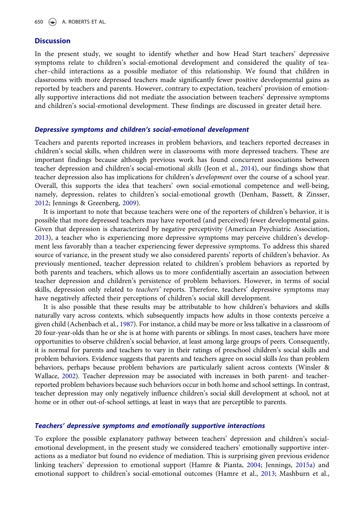## **Discussion**

In the present study, we sought to identify whether and how Head Start teachers' depressive symptoms relate to children's social-emotional development and considered the quality of teacher–child interactions as a possible mediator of this relationship. We found that children in classrooms with more depressed teachers made significantly fewer positive developmental gains as reported by teachers and parents. However, contrary to expectation, teachers' provision of emotionally supportive interactions did not mediate the association between teachers' depressive symptoms and children's social-emotional development. These findings are discussed in greater detail here.

#### Depressive symptoms and children's social-emotional development

Teachers and parents reported increases in problem behaviors, and teachers reported decreases in children's social skills, when children were in classrooms with more depressed teachers. These are important findings because although previous work has found concurrent associations between teacher depression and children's social-emotional skills (Jeon et al., [2014](#page-11-6)), our findings show that teacher depression also has implications for children's development over the course of a school year. Overall, this supports the idea that teachers' own social-emotional competence and well-being, namely, depression, relates to children's social-emotional growth (Denham, Bassett, & Zinsser, [2012](#page-11-19); Jennings & Greenberg, [2009\)](#page-11-8).

It is important to note that because teachers were one of the reporters of children's behavior, it is possible that more depressed teachers may have reported (and perceived) fewer developmental gains. Given that depression is characterized by negative perceptivity (American Psychiatric Association, [2013](#page-10-1)), a teacher who is experiencing more depressive symptoms may perceive children's development less favorably than a teacher experiencing fewer depressive symptoms. To address this shared source of variance, in the present study we also considered parents' reports of children's behavior. As previously mentioned, teacher depression related to children's problem behaviors as reported by both parents and teachers, which allows us to more confidentially ascertain an association between teacher depression and children's persistence of problem behaviors. However, in terms of social skills, depression only related to teachers' reports. Therefore, teachers' depressive symptoms may have negatively affected their perceptions of children's social skill development.

It is also possible that these results may be attributable to how children's behaviors and skills naturally vary across contexts, which subsequently impacts how adults in those contexts perceive a given child (Achenbach et al., [1987\)](#page-10-2). For instance, a child may be more or less talkative in a classroom of 20 four-year-olds than he or she is at home with parents or siblings. In most cases, teachers have more opportunities to observe children's social behavior, at least among large groups of peers. Consequently, it is normal for parents and teachers to vary in their ratings of preschool children's social skills and problem behaviors. Evidence suggests that parents and teachers agree on social skills less than problem behaviors, perhaps because problem behaviors are particularly salient across contexts (Winsler & Wallace, [2002\)](#page-12-19). Teacher depression may be associated with increases in both parent- and teacherreported problem behaviors because such behaviors occur in both home and school settings. In contrast, teacher depression may only negatively influence children's social skill development at school, not at home or in other out-of-school settings, at least in ways that are perceptible to parents.

## Teachers' depressive symptoms and emotionally supportive interactions

To explore the possible explanatory pathway between teachers' depression and children's socialemotional development, in the present study we considered teachers' emotionally supportive interactions as a mediator but found no evidence of mediation. This is surprising given previous evidence linking teachers' depression to emotional support (Hamre & Pianta, [2004;](#page-11-4) Jennings, [2015a\)](#page-11-5) and emotional support to children's social-emotional outcomes (Hamre et al., [2013;](#page-11-1) Mashburn et al.,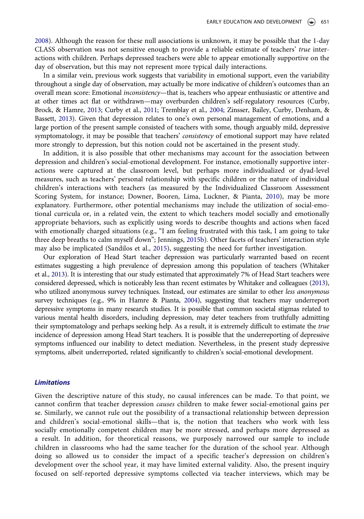[2008](#page-11-3)). Although the reason for these null associations is unknown, it may be possible that the 1-day CLASS observation was not sensitive enough to provide a reliable estimate of teachers' true interactions with children. Perhaps depressed teachers were able to appear emotionally supportive on the day of observation, but this may not represent more typical daily interactions.

In a similar vein, previous work suggests that variability in emotional support, even the variability throughout a single day of observation, may actually be more indicative of children's outcomes than an overall mean score: Emotional *inconsistency*—that is, teachers who appear enthusiastic or attentive and at other times act flat or withdrawn—may overburden children's self-regulatory resources (Curby, Brock, & Hamre, [2013;](#page-11-20) Curby et al., [2011;](#page-11-21) Tremblay et al., [2004;](#page-12-7) Zinsser, Bailey, Curby, Denham, & Bassett, [2013\)](#page-12-21). Given that depression relates to one's own personal management of emotions, and a large portion of the present sample consisted of teachers with some, though arguably mild, depressive symptomatology, it may be possible that teachers' *consistency* of emotional support may have related more strongly to depression, but this notion could not be ascertained in the present study.

In addition, it is also possible that other mechanisms may account for the association between depression and children's social-emotional development. For instance, emotionally supportive interactions were captured at the classroom level, but perhaps more individualized or dyad-level measures, such as teachers' personal relationship with specific children or the nature of individual children's interactions with teachers (as measured by the Individualized Classroom Assessment Scoring System, for instance; Downer, Booren, Lima, Luckner, & Pianta, [2010](#page-11-22)), may be more explanatory. Furthermore, other potential mechanisms may include the utilization of social-emotional curricula or, in a related vein, the extent to which teachers model socially and emotionally appropriate behaviors, such as explicitly using words to describe thoughts and actions when faced with emotionally charged situations (e.g., "I am feeling frustrated with this task, I am going to take three deep breaths to calm myself down"; Jennings, [2015b\)](#page-11-23). Other facets of teachers' interaction style may also be implicated (Sandilos et al., [2015](#page-12-22)), suggesting the need for further investigation.

Our exploration of Head Start teacher depression was particularly warranted based on recent estimates suggesting a high prevalence of depression among this population of teachers (Whitaker et al., [2013\)](#page-12-15). It is interesting that our study estimated that approximately 7% of Head Start teachers were considered depressed, which is noticeably less than recent estimates by Whitaker and colleagues ([2013](#page-12-15)), who utilized anonymous survey techniques. Instead, our estimates are similar to other less anonymous survey techniques (e.g., 9% in Hamre & Pianta, [2004](#page-11-4)), suggesting that teachers may underreport depressive symptoms in many research studies. It is possible that common societal stigmas related to various mental health disorders, including depression, may deter teachers from truthfully admitting their symptomatology and perhaps seeking help. As a result, it is extremely difficult to estimate the true incidence of depression among Head Start teachers. It is possible that the underreporting of depressive symptoms influenced our inability to detect mediation. Nevertheless, in the present study depressive symptoms, albeit underreported, related significantly to children's social-emotional development.

## **Limitations**

Given the descriptive nature of this study, no causal inferences can be made. To that point, we cannot confirm that teacher depression causes children to make fewer social-emotional gains per se. Similarly, we cannot rule out the possibility of a transactional relationship between depression and children's social-emotional skills—that is, the notion that teachers who work with less socially emotionally competent children may be more stressed, and perhaps more depressed as a result. In addition, for theoretical reasons, we purposely narrowed our sample to include children in classrooms who had the same teacher for the duration of the school year. Although doing so allowed us to consider the impact of a specific teacher's depression on children's development over the school year, it may have limited external validity. Also, the present inquiry focused on self-reported depressive symptoms collected via teacher interviews, which may be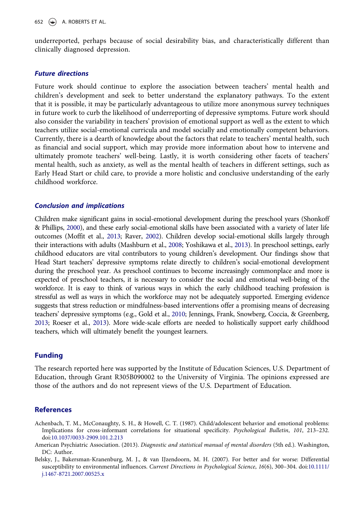underreported, perhaps because of social desirability bias, and characteristically different than clinically diagnosed depression.

#### Future directions

Future work should continue to explore the association between teachers' mental health and children's development and seek to better understand the explanatory pathways. To the extent that it is possible, it may be particularly advantageous to utilize more anonymous survey techniques in future work to curb the likelihood of underreporting of depressive symptoms. Future work should also consider the variability in teachers' provision of emotional support as well as the extent to which teachers utilize social-emotional curricula and model socially and emotionally competent behaviors. Currently, there is a dearth of knowledge about the factors that relate to teachers' mental health, such as financial and social support, which may provide more information about how to intervene and ultimately promote teachers' well-being. Lastly, it is worth considering other facets of teachers' mental health, such as anxiety, as well as the mental health of teachers in different settings, such as Early Head Start or child care, to provide a more holistic and conclusive understanding of the early childhood workforce.

#### Conclusion and implications

Children make significant gains in social-emotional development during the preschool years (Shonkoff & Phillips, [2000\)](#page-12-4), and these early social-emotional skills have been associated with a variety of later life outcomes (Moffit et al., [2013;](#page-12-5) Raver, [2002](#page-12-6)). Children develop social-emotional skills largely through their interactions with adults (Mashburn et al., [2008;](#page-11-3) Yoshikawa et al., [2013](#page-12-0)). In preschool settings, early childhood educators are vital contributors to young children's development. Our findings show that Head Start teachers' depressive symptoms relate directly to children's social-emotional development during the preschool year. As preschool continues to become increasingly commonplace and more is expected of preschool teachers, it is necessary to consider the social and emotional well-being of the workforce. It is easy to think of various ways in which the early childhood teaching profession is stressful as well as ways in which the workforce may not be adequately supported. Emerging evidence suggests that stress reduction or mindfulness-based interventions offer a promising means of decreasing teachers' depressive symptoms (e.g., Gold et al., [2010](#page-11-24); Jennings, Frank, Snowberg, Coccia, & Greenberg, [2013;](#page-11-25) Roeser et al., [2013](#page-12-23)). More wide-scale efforts are needed to holistically support early childhood teachers, which will ultimately benefit the youngest learners.

## Funding

The research reported here was supported by the Institute of Education Sciences, U.S. Department of Education, through Grant R305B090002 to the University of Virginia. The opinions expressed are those of the authors and do not represent views of the U.S. Department of Education.

## References

- <span id="page-10-2"></span>Achenbach, T. M., McConaughty, S. H., & Howell, C. T. (1987). Child/adolescent behavior and emotional problems: Implications for cross-informant correlations for situational specificity. Psychological Bulletin, 101, 213–232. doi:[10.1037/0033-2909.101.2.213](http://dx.doi.org/10.1037/0033-2909.101.2.213)
- <span id="page-10-1"></span>American Psychiatric Association. (2013). Diagnostic and statistical manual of mental disorders (5th ed.). Washington, DC: Author.

<span id="page-10-0"></span>Belsky, J., Bakersman-Kranenburg, M. J., & van IJzendoorn, M. H. (2007). For better and for worse: Differential susceptibility to environmental influences. Current Directions in Psychological Science, 16(6), 300–304. doi:[10.1111/](http://dx.doi.org/10.1111/j.1467-8721.2007.00525.x) [j.1467-8721.2007.00525.x](http://dx.doi.org/10.1111/j.1467-8721.2007.00525.x)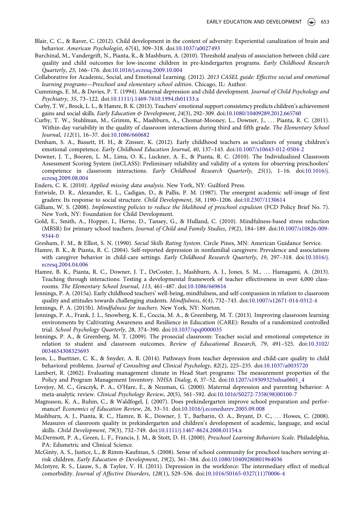- <span id="page-11-7"></span>Blair, C. C., & Raver, C. (2012). Child development in the context of adversity: Experiential canalization of brain and behavior. American Psychologist, 67(4), 309–318. doi:[10.1037/a0027493](http://dx.doi.org/10.1037/a0027493)
- <span id="page-11-0"></span>Burchinal, M., Vandergrift, N., Pianta, R., & Mashburn, A. (2010). Threshold analysis of association between child care quality and child outcomes for low-income children in pre-kindergarten programs. Early Childhood Research Quarterly, 25, 166–176. doi:[10.1016/j.ecresq.2009.10.004](http://dx.doi.org/10.1016/j.ecresq.2009.10.004)
- Collaborative for Academic, Social, and Emotional Learning. (2012). 2013 CASEL guide: Effective social and emotional learning programs—Preschool and elementary school edition. Chicago, IL: Author.
- <span id="page-11-11"></span>Cummings, E. M., & Davies, P. T. (1994). Maternal depression and child development. Journal of Child Psychology and Psychiatry, 35, 73–122. doi:[10.1111/j.1469-7610.1994.tb01133.x](http://dx.doi.org/10.1111/j.1469-7610.1994.tb01133.x)
- <span id="page-11-20"></span>Curby, T. W., Brock, L. L., & Hamre, B. K. (2013). Teachers' emotional support consistency predicts children's achievement gains and social skills. Early Education & Development, 24(3), 292-309. doi:[10.1080/10409289.2012.665760](http://dx.doi.org/10.1080/10409289.2012.665760)
- <span id="page-11-21"></span>Curby, T. W., Stuhlman, M., Grimm, K., Mashburn, A., Chomat-Mooney, L., Downer, J., ... Pianta, R. C. (2011). Within-day variability in the quality of classroom interactions during third and fifth grade. The Elementary School Journal, 112(1), 16–37. doi:[10.1086/660682](http://dx.doi.org/10.1086/660682)
- <span id="page-11-19"></span>Denham, S. A., Bassett, H. H., & Zinsser, K. (2012). Early childhood teachers as socializers of young children's emotional competence. Early Childhood Education Journal, 40, 137–143. doi:[10.1007/s10643-012-0504-2](http://dx.doi.org/10.1007/s10643-012-0504-2)
- <span id="page-11-22"></span>Downer, J. T., Booren, L. M., Lima, O. K., Luckner, A. E., & Pianta, R. C. (2010). The Individualized Classroom Assessment Scoring System (inCLASS): Preliminary reliability and validity of a system for observing preschoolers' competence in classroom interactions. Early Childhood Research Quarterly, 25(1), 1–16. doi:[10.1016/j.](http://dx.doi.org/10.1016/j.ecresq.2009.08.004) [ecresq.2009.08.004](http://dx.doi.org/10.1016/j.ecresq.2009.08.004)
- <span id="page-11-18"></span><span id="page-11-13"></span>Enders, C. K. (2010). Applied missing data analysis. New York, NY: Guilford Press.
- Entwisle, D. R., Alexander, K. L., Cadigan, D., & Pallis, P. M. (1987). The emergent academic self-image of first graders: Its response to social structure. Child Development, 58, 1190–1206. doi:[10.2307/1130614](http://dx.doi.org/10.2307/1130614)
- <span id="page-11-9"></span>Gilliam, W. S. (2008). Implementing policies to reduce the likelihood of preschool expulsion (FCD Policy Brief No. 7). New York, NY: Foundation for Child Development.
- <span id="page-11-24"></span>Gold, E., Smith, A., Hopper, I., Herne, D., Tansey, G., & Hulland, C. (2010). Mindfulness-based stress reduction (MBSR) for primary school teachers. Journal of Child and Family Studies, 19(2), 184–189. doi:[10.1007/s10826-009-](http://dx.doi.org/10.1007/s10826-009-9344-0) [9344-0](http://dx.doi.org/10.1007/s10826-009-9344-0)
- <span id="page-11-14"></span>Gresham, F. M., & Elliot, S. N. (1990). Social Skills Rating System. Circle Pines, MN: American Guidance Service.
- <span id="page-11-4"></span>Hamre, B. K., & Pianta, R. C. (2004). Self-reported depression in nonfamilial caregivers: Prevalence and associations with caregiver behavior in child-care settings. Early Childhood Research Quarterly, 19, 297-318. doi:[10.1016/j.](http://dx.doi.org/10.1016/j.ecresq.2004.04.006) [ecresq.2004.04.006](http://dx.doi.org/10.1016/j.ecresq.2004.04.006)
- <span id="page-11-1"></span>Hamre, B. K., Pianta, R. C., Downer, J. T., DeCoster, J., Mashburn, A. J., Jones, S. M., . . . Hamagami, A. (2013). Teaching through interactions: Testing a developmental framework of teacher effectiveness in over 4,000 classrooms. The Elementary School Journal, 113, 461–487. doi:[10.1086/669616](http://dx.doi.org/10.1086/669616)
- <span id="page-11-5"></span>Jennings, P. A. (2015a). Early childhood teachers' well-being, mindfulness, and self-compassion in relation to classroom quality and attitudes towards challenging students. Mindfulness, 6(4), 732–743. doi:[10.1007/s12671-014-0312-4](http://dx.doi.org/10.1007/s12671-014-0312-4)
- <span id="page-11-23"></span>Jennings, P. A. (2015b). Mindfulness for teachers. New York, NY: Norton.
- <span id="page-11-25"></span>Jennings, P. A., Frank, J. L., Snowberg, K. E., Coccia, M. A., & Greenberg, M. T. (2013). Improving classroom learning environments by Cultivating Awareness and Resilience in Education (CARE): Results of a randomized controlled trial. School Psychology Quarterly, 28, 374–390. doi:[10.1037/spq0000035](http://dx.doi.org/10.1037/spq0000035)
- <span id="page-11-8"></span>Jennings, P. A., & Greenberg, M. T. (2009). The prosocial classroom: Teacher social and emotional competence in relation to student and classroom outcomes. Review of Educational Research, 79, 491–525. doi:[10.3102/](http://dx.doi.org/10.3102/0034654308325693) [0034654308325693](http://dx.doi.org/10.3102/0034654308325693)
- <span id="page-11-6"></span>Jeon, L., Buettner, C. K., & Snyder, A. R. (2014). Pathways from teacher depression and child-care quality to child behavioral problems. Journal of Consulting and Clinical Psychology, 82(2), 225–235. doi:[10.1037/a0035720](http://dx.doi.org/10.1037/a0035720)
- <span id="page-11-16"></span>Lambert, R. (2002). Evaluating management climate in Head Start programs: The measurement properties of the Policy and Program Management Inventory. NHSA Dialog, 6, 37–52. doi:[10.1207/s19309325nhsa0601\\_4](http://dx.doi.org/10.1207/s19309325nhsa0601%5F4)
- <span id="page-11-12"></span>Lovejoy, M. C., Graczyk, P. A., O'Hare, E., & Neuman, G. (2000). Maternal depression and parenting behavior: A meta-analytic review. Clinical Psychology Review, 20(5), 561–592. doi:[10.1016/S0272-7358\(98\)00100-7](http://dx.doi.org/10.1016/S0272-7358(98)00100-7)
- <span id="page-11-2"></span>Magnuson, K. A., Ruhm, C., & Waldfogel, J. (2007). Does prekindergarten improve school preparation and performance? Economics of Education Review, 26, 33–51. doi:[10.1016/j.econedurev.2005.09.008](http://dx.doi.org/10.1016/j.econedurev.2005.09.008)
- <span id="page-11-3"></span>Mashburn, A. J., Pianta, R. C., Hamre, B. K., Downer, J. T., Barbarin, O. A., Bryant, D. C., . . . Howes, C. (2008). Measures of classroom quality in prekindergarten and children's development of academic, language, and social skills. Child Development, 79(3), 732–749. doi:[10.1111/j.1467-8624.2008.01154.x](http://dx.doi.org/10.1111/j.1467-8624.2008.01154.x)
- <span id="page-11-15"></span>McDermott, P. A., Green, L. F., Francis, J. M., & Stott, D. H. (2000). Preschool Learning Behaviors Scale. Philadelphia, PA: Edumetric and Clinical Science.
- <span id="page-11-17"></span>McGinty, A. S., Justice, L., & Rimm-Kaufman, S. (2008). Sense of school community for preschool teachers serving atrisk children. Early Education & Development, 19(2), 361–384. doi:[10.1080/10409280801964036](http://dx.doi.org/10.1080/10409280801964036)
- <span id="page-11-10"></span>McIntyre, R. S., Liauw, S., & Taylor, V. H. (2011). Depression in the workforce: The intermediary effect of medical comorbidity. Journal of Affective Disorders, 128(1), S29–S36. doi:[10.1016/S0165-0327\(11\)70006-4](http://dx.doi.org/10.1016/S0165-0327(11)70006-4)